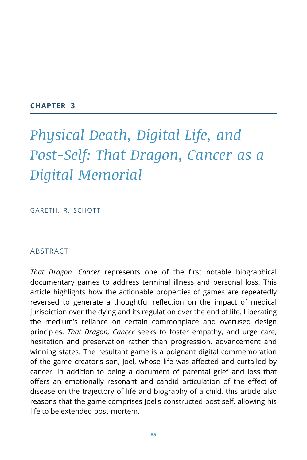#### **CHAPTER 3**

# *Physical Death, Digital Life, and Post-Self: That Dragon, Cancer as a Digital Memorial*

GARETH. R. SCHOTT

## ABSTRACT

*That Dragon, Cancer* represents one of the first notable biographical documentary games to address terminal illness and personal loss. This article highlights how the actionable properties of games are repeatedly reversed to generate a thoughtful reflection on the impact of medical jurisdiction over the dying and its regulation over the end of life. Liberating the medium's reliance on certain commonplace and overused design principles, *That Dragon, Cancer* seeks to foster empathy, and urge care, hesitation and preservation rather than progression, advancement and winning states. The resultant game is a poignant digital commemoration of the game creator's son, Joel, whose life was affected and curtailed by cancer. In addition to being a document of parental grief and loss that offers an emotionally resonant and candid articulation of the effect of disease on the trajectory of life and biography of a child, this article also reasons that the game comprises Joel's constructed post-self, allowing his life to be extended post-mortem.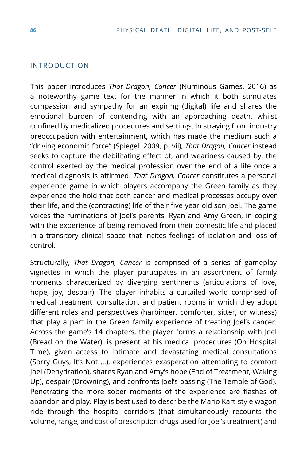## INTRODUCTION

This paper introduces *That Dragon, Cancer* (Numinous Games, 2016) as a noteworthy game text for the manner in which it both stimulates compassion and sympathy for an expiring (digital) life and shares the emotional burden of contending with an approaching death, whilst confined by medicalized procedures and settings. In straying from industry preoccupation with entertainment, which has made the medium such a "driving economic force" (Spiegel, 2009, p. vii), *That Dragon, Cancer* instead seeks to capture the debilitating effect of, and weariness caused by, the control exerted by the medical profession over the end of a life once a medical diagnosis is affirmed. *That Dragon, Cancer* constitutes a personal experience game in which players accompany the Green family as they experience the hold that both cancer and medical processes occupy over their life, and the (contracting) life of their five-year-old son Joel. The game voices the ruminations of Joel's parents, Ryan and Amy Green, in coping with the experience of being removed from their domestic life and placed in a transitory clinical space that incites feelings of isolation and loss of control.

Structurally, *That Dragon, Cancer* is comprised of a series of gameplay vignettes in which the player participates in an assortment of family moments characterized by diverging sentiments (articulations of love, hope, joy, despair). The player inhabits a curtailed world comprised of medical treatment, consultation, and patient rooms in which they adopt different roles and perspectives (harbinger, comforter, sitter, or witness) that play a part in the Green family experience of treating Joel's cancer. Across the game's 14 chapters, the player forms a relationship with Joel (Bread on the Water), is present at his medical procedures (On Hospital Time), given access to intimate and devastating medical consultations (Sorry Guys, It's Not …), experiences exasperation attempting to comfort Joel (Dehydration), shares Ryan and Amy's hope (End of Treatment, Waking Up), despair (Drowning), and confronts Joel's passing (The Temple of God). Penetrating the more sober moments of the experience are flashes of abandon and play. Play is best used to describe the Mario Kart-style wagon ride through the hospital corridors (that simultaneously recounts the volume, range, and cost of prescription drugs used for Joel's treatment) and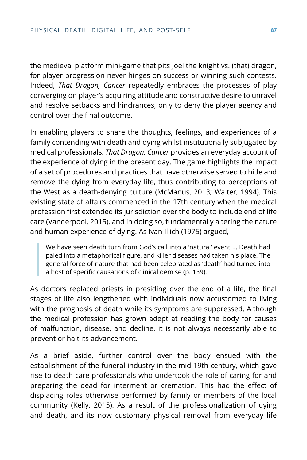the medieval platform mini-game that pits Joel the knight vs. (that) dragon, for player progression never hinges on success or winning such contests. Indeed, *That Dragon, Cancer* repeatedly embraces the processes of play converging on player's acquiring attitude and constructive desire to unravel and resolve setbacks and hindrances, only to deny the player agency and control over the final outcome.

In enabling players to share the thoughts, feelings, and experiences of a family contending with death and dying whilst institutionally subjugated by medical professionals, *That Dragon, Cancer* provides an everyday account of the experience of dying in the present day. The game highlights the impact of a set of procedures and practices that have otherwise served to hide and remove the dying from everyday life, thus contributing to perceptions of the West as a death-denying culture (McManus, 2013; Walter, 1994). This existing state of affairs commenced in the 17th century when the medical profession first extended its jurisdiction over the body to include end of life care (Vanderpool, 2015), and in doing so, fundamentally altering the nature and human experience of dying. As Ivan Illich (1975) argued,

We have seen death turn from God's call into a 'natural' event … Death had paled into a metaphorical figure, and killer diseases had taken his place. The general force of nature that had been celebrated as 'death' had turned into a host of specific causations of clinical demise (p. 139).

As doctors replaced priests in presiding over the end of a life, the final stages of life also lengthened with individuals now accustomed to living with the prognosis of death while its symptoms are suppressed. Although the medical profession has grown adept at reading the body for causes of malfunction, disease, and decline, it is not always necessarily able to prevent or halt its advancement.

As a brief aside, further control over the body ensued with the establishment of the funeral industry in the mid 19th century, which gave rise to death care professionals who undertook the role of caring for and preparing the dead for interment or cremation. This had the effect of displacing roles otherwise performed by family or members of the local community (Kelly, 2015). As a result of the professionalization of dying and death, and its now customary physical removal from everyday life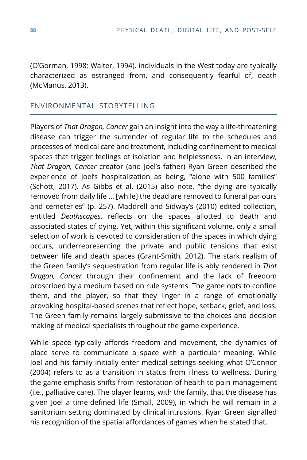(O'Gorman, 1998; Walter, 1994), individuals in the West today are typically characterized as estranged from, and consequently fearful of, death (McManus, 2013).

## ENVIRONMENTAL STORYTELLING

Players of *That Dragon, Cancer* gain an insight into the way a life-threatening disease can trigger the surrender of regular life to the schedules and processes of medical care and treatment, including confinement to medical spaces that trigger feelings of isolation and helplessness. In an interview, *That Dragon, Cancer* creator (and Joel's father) Ryan Green described the experience of Joel's hospitalization as being, "alone with 500 families" (Schott, 2017). As Gibbs et al. (2015) also note, "the dying are typically removed from daily life … [while] the dead are removed to funeral parlours and cemeteries" (p. 257). Maddrell and Sidway's (2010) edited collection, entitled *Deathscapes*, reflects on the spaces allotted to death and associated states of dying. Yet, within this significant volume, only a small selection of work is devoted to consideration of the spaces in which dying occurs, underrepresenting the private and public tensions that exist between life and death spaces (Grant-Smith, 2012). The stark realism of the Green family's sequestration from regular life is ably rendered in *That Dragon, Cancer* through their confinement and the lack of freedom proscribed by a medium based on rule systems. The game opts to confine them, and the player, so that they linger in a range of emotionally provoking hospital-based scenes that reflect hope, setback, grief, and loss. The Green family remains largely submissive to the choices and decision making of medical specialists throughout the game experience.

While space typically affords freedom and movement, the dynamics of place serve to communicate a space with a particular meaning. While Joel and his family initially enter medical settings seeking what O'Connor (2004) refers to as a transition in status from illness to wellness. During the game emphasis shifts from restoration of health to pain management (i.e., palliative care). The player learns, with the family, that the disease has given Joel a time-defined life (Small, 2009), in which he will remain in a sanitorium setting dominated by clinical intrusions. Ryan Green signalled his recognition of the spatial affordances of games when he stated that,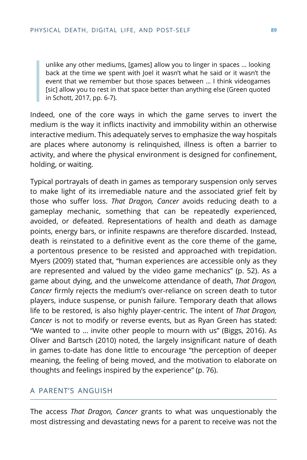unlike any other mediums, [games] allow you to linger in spaces … looking back at the time we spent with Joel it wasn't what he said or it wasn't the event that we remember but those spaces between … I think videogames [sic] allow you to rest in that space better than anything else (Green quoted in Schott, 2017, pp. 6-7).

Indeed, one of the core ways in which the game serves to invert the medium is the way it inflicts inactivity and immobility within an otherwise interactive medium. This adequately serves to emphasize the way hospitals are places where autonomy is relinquished, illness is often a barrier to activity, and where the physical environment is designed for confinement, holding, or waiting.

Typical portrayals of death in games as temporary suspension only serves to make light of its irremediable nature and the associated grief felt by those who suffer loss. *That Dragon, Cancer* avoids reducing death to a gameplay mechanic, something that can be repeatedly experienced, avoided, or defeated. Representations of health and death as damage points, energy bars, or infinite respawns are therefore discarded. Instead, death is reinstated to a definitive event as the core theme of the game, a portentous presence to be resisted and approached with trepidation. Myers (2009) stated that, "human experiences are accessible only as they are represented and valued by the video game mechanics" (p. 52). As a game about dying, and the unwelcome attendance of death, *That Dragon, Cancer* firmly rejects the medium's over-reliance on screen death to tutor players, induce suspense, or punish failure. Temporary death that allows life to be restored, is also highly player-centric. The intent of *That Dragon, Cancer* is not to modify or reverse events, but as Ryan Green has stated: "We wanted to … invite other people to mourn with us" (Biggs, 2016). As Oliver and Bartsch (2010) noted, the largely insignificant nature of death in games to-date has done little to encourage "the perception of deeper meaning, the feeling of being moved, and the motivation to elaborate on thoughts and feelings inspired by the experience" (p. 76).

## A PARENT'S ANGUISH

The access *That Dragon, Cancer* grants to what was unquestionably the most distressing and devastating news for a parent to receive was not the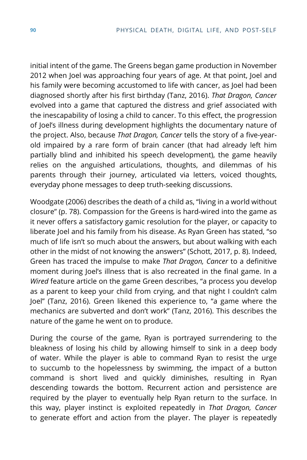initial intent of the game. The Greens began game production in November 2012 when Joel was approaching four years of age. At that point, Joel and his family were becoming accustomed to life with cancer, as Joel had been diagnosed shortly after his first birthday (Tanz, 2016). *That Dragon, Cancer* evolved into a game that captured the distress and grief associated with the inescapability of losing a child to cancer. To this effect, the progression of Joel's illness during development highlights the documentary nature of the project. Also, because *That Dragon, Cancer* tells the story of a five-yearold impaired by a rare form of brain cancer (that had already left him partially blind and inhibited his speech development), the game heavily relies on the anguished articulations, thoughts, and dilemmas of his parents through their journey, articulated via letters, voiced thoughts, everyday phone messages to deep truth-seeking discussions.

Woodgate (2006) describes the death of a child as, "living in a world without closure" (p. 78). Compassion for the Greens is hard-wired into the game as it never offers a satisfactory gamic resolution for the player, or capacity to liberate Joel and his family from his disease. As Ryan Green has stated, "so much of life isn't so much about the answers, but about walking with each other in the midst of not knowing the answers" (Schott, 2017, p. 8). Indeed, Green has traced the impulse to make *That Dragon, Cancer* to a definitive moment during Joel's illness that is also recreated in the final game. In a *Wired* feature article on the game Green describes, "a process you develop as a parent to keep your child from crying, and that night I couldn't calm Joel" (Tanz, 2016). Green likened this experience to, "a game where the mechanics are subverted and don't work" (Tanz, 2016). This describes the nature of the game he went on to produce.

During the course of the game, Ryan is portrayed surrendering to the bleakness of losing his child by allowing himself to sink in a deep body of water. While the player is able to command Ryan to resist the urge to succumb to the hopelessness by swimming, the impact of a button command is short lived and quickly diminishes, resulting in Ryan descending towards the bottom. Recurrent action and persistence are required by the player to eventually help Ryan return to the surface. In this way, player instinct is exploited repeatedly in *That Dragon, Cancer* to generate effort and action from the player. The player is repeatedly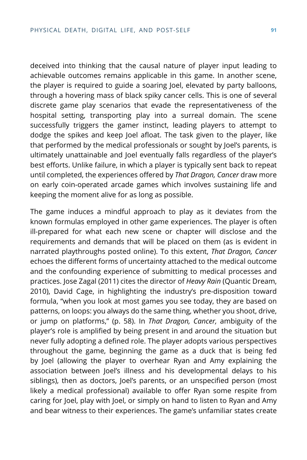deceived into thinking that the causal nature of player input leading to achievable outcomes remains applicable in this game. In another scene, the player is required to guide a soaring Joel, elevated by party balloons, through a hovering mass of black spiky cancer cells. This is one of several discrete game play scenarios that evade the representativeness of the hospital setting, transporting play into a surreal domain. The scene successfully triggers the gamer instinct, leading players to attempt to dodge the spikes and keep Joel afloat. The task given to the player, like that performed by the medical professionals or sought by Joel's parents, is ultimately unattainable and Joel eventually falls regardless of the player's best efforts. Unlike failure, in which a player is typically sent back to repeat until completed, the experiences offered by *That Dragon, Cancer* draw more on early coin-operated arcade games which involves sustaining life and keeping the moment alive for as long as possible.

The game induces a mindful approach to play as it deviates from the known formulas employed in other game experiences. The player is often ill-prepared for what each new scene or chapter will disclose and the requirements and demands that will be placed on them (as is evident in narrated playthroughs posted online). To this extent, *That Dragon, Cancer* echoes the different forms of uncertainty attached to the medical outcome and the confounding experience of submitting to medical processes and practices. Jose Zagal (2011) cites the director of *Heavy Rain* (Quantic Dream, 2010), David Cage, in highlighting the industry's pre-disposition toward formula, "when you look at most games you see today, they are based on patterns, on loops: you always do the same thing, whether you shoot, drive, or jump on platforms," (p. 58). In *That Dragon, Cancer,* ambiguity of the player's role is amplified by being present in and around the situation but never fully adopting a defined role. The player adopts various perspectives throughout the game, beginning the game as a duck that is being fed by Joel (allowing the player to overhear Ryan and Amy explaining the association between Joel's illness and his developmental delays to his siblings), then as doctors, Joel's parents, or an unspecified person (most likely a medical professional) available to offer Ryan some respite from caring for Joel, play with Joel, or simply on hand to listen to Ryan and Amy and bear witness to their experiences. The game's unfamiliar states create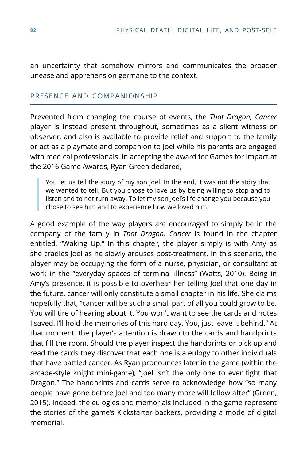an uncertainty that somehow mirrors and communicates the broader unease and apprehension germane to the context.

## PRESENCE AND COMPANIONSHIP

Prevented from changing the course of events, the *That Dragon, Cancer* player is instead present throughout, sometimes as a silent witness or observer, and also is available to provide relief and support to the family or act as a playmate and companion to Joel while his parents are engaged with medical professionals. In accepting the award for Games for Impact at the 2016 Game Awards, Ryan Green declared,

You let us tell the story of my son Joel. In the end, it was not the story that we wanted to tell. But you chose to love us by being willing to stop and to listen and to not turn away. To let my son Joel's life change you because you chose to see him and to experience how we loved him.

A good example of the way players are encouraged to simply be in the company of the family in *That Dragon, Cancer* is found in the chapter entitled, "Waking Up." In this chapter, the player simply is with Amy as she cradles Joel as he slowly arouses post-treatment. In this scenario, the player may be occupying the form of a nurse, physician, or consultant at work in the "everyday spaces of terminal illness" (Watts, 2010). Being in Amy's presence, it is possible to overhear her telling Joel that one day in the future, cancer will only constitute a small chapter in his life. She claims hopefully that, "cancer will be such a small part of all you could grow to be. You will tire of hearing about it. You won't want to see the cards and notes I saved. I'll hold the memories of this hard day. You, just leave it behind." At that moment, the player's attention is drawn to the cards and handprints that fill the room. Should the player inspect the handprints or pick up and read the cards they discover that each one is a eulogy to other individuals that have battled cancer. As Ryan pronounces later in the game (within the arcade-style knight mini-game), "Joel isn't the only one to ever fight that Dragon." The handprints and cards serve to acknowledge how "so many people have gone before Joel and too many more will follow after" (Green, 2015). Indeed, the eulogies and memorials included in the game represent the stories of the game's Kickstarter backers, providing a mode of digital memorial.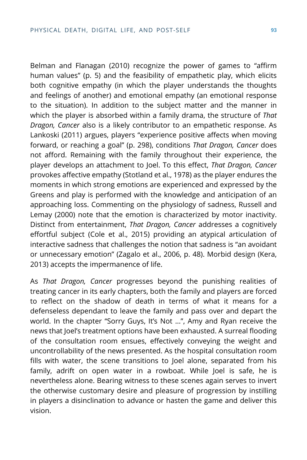Belman and Flanagan (2010) recognize the power of games to "affirm human values" (p. 5) and the feasibility of empathetic play, which elicits both cognitive empathy (in which the player understands the thoughts and feelings of another) and emotional empathy (an emotional response to the situation). In addition to the subject matter and the manner in which the player is absorbed within a family drama, the structure of *That Dragon, Cancer* also is a likely contributor to an empathetic response. As Lankoski (2011) argues, players "experience positive affects when moving forward, or reaching a goal" (p. 298), conditions *That Dragon, Cancer* does not afford. Remaining with the family throughout their experience, the player develops an attachment to Joel. To this effect, *That Dragon, Cancer* provokes affective empathy (Stotland et al., 1978) as the player endures the moments in which strong emotions are experienced and expressed by the Greens and play is performed with the knowledge and anticipation of an approaching loss. Commenting on the physiology of sadness, Russell and Lemay (2000) note that the emotion is characterized by motor inactivity. Distinct from entertainment, *That Dragon, Cancer* addresses a cognitively effortful subject (Cole et al., 2015) providing an atypical articulation of interactive sadness that challenges the notion that sadness is "an avoidant or unnecessary emotion" (Zagalo et al., 2006, p. 48). Morbid design (Kera, 2013) accepts the impermanence of life.

As *That Dragon, Cancer* progresses beyond the punishing realities of treating cancer in its early chapters, both the family and players are forced to reflect on the shadow of death in terms of what it means for a defenseless dependant to leave the family and pass over and depart the world. In the chapter "Sorry Guys, It's Not …", Amy and Ryan receive the news that Joel's treatment options have been exhausted. A surreal flooding of the consultation room ensues, effectively conveying the weight and uncontrollability of the news presented. As the hospital consultation room fills with water, the scene transitions to Joel alone, separated from his family, adrift on open water in a rowboat. While Joel is safe, he is nevertheless alone. Bearing witness to these scenes again serves to invert the otherwise customary desire and pleasure of progression by instilling in players a disinclination to advance or hasten the game and deliver this vision.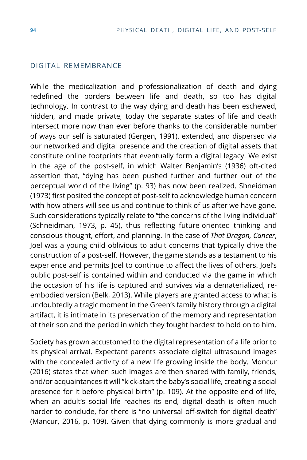#### DIGITAL REMEMBRANCE

While the medicalization and professionalization of death and dying redefined the borders between life and death, so too has digital technology. In contrast to the way dying and death has been eschewed, hidden, and made private, today the separate states of life and death intersect more now than ever before thanks to the considerable number of ways our self is saturated (Gergen, 1991), extended, and dispersed via our networked and digital presence and the creation of digital assets that constitute online footprints that eventually form a digital legacy. We exist in the age of the post-self, in which Walter Benjamin's (1936) oft-cited assertion that, "dying has been pushed further and further out of the perceptual world of the living" (p. 93) has now been realized. Shneidman (1973) first posited the concept of post-self to acknowledge human concern with how others will see us and continue to think of us after we have gone. Such considerations typically relate to "the concerns of the living individual" (Schneidman, 1973, p. 45), thus reflecting future-oriented thinking and conscious thought, effort, and planning. In the case of *That Dragon, Cancer*, Joel was a young child oblivious to adult concerns that typically drive the construction of a post-self. However, the game stands as a testament to his experience and permits Joel to continue to affect the lives of others. Joel's public post-self is contained within and conducted via the game in which the occasion of his life is captured and survives via a dematerialized, reembodied version (Belk, 2013). While players are granted access to what is undoubtedly a tragic moment in the Green's family history through a digital artifact, it is intimate in its preservation of the memory and representation of their son and the period in which they fought hardest to hold on to him.

Society has grown accustomed to the digital representation of a life prior to its physical arrival. Expectant parents associate digital ultrasound images with the concealed activity of a new life growing inside the body. Moncur (2016) states that when such images are then shared with family, friends, and/or acquaintances it will "kick-start the baby's social life, creating a social presence for it before physical birth" (p. 109). At the opposite end of life, when an adult's social life reaches its end, digital death is often much harder to conclude, for there is "no universal off-switch for digital death" (Mancur, 2016, p. 109). Given that dying commonly is more gradual and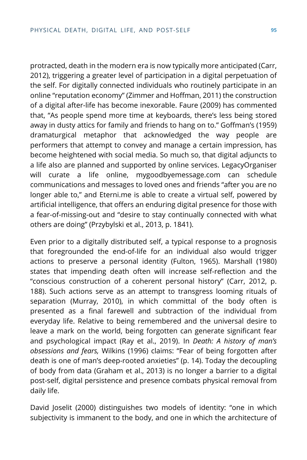protracted, death in the modern era is now typically more anticipated (Carr, 2012), triggering a greater level of participation in a digital perpetuation of the self. For digitally connected individuals who routinely participate in an online "reputation economy" (Zimmer and Hoffman, 2011) the construction of a digital after-life has become inexorable. Faure (2009) has commented that, "As people spend more time at keyboards, there's less being stored away in dusty attics for family and friends to hang on to." Goffman's (1959) dramaturgical metaphor that acknowledged the way people are performers that attempt to convey and manage a certain impression, has become heightened with social media. So much so, that digital adjuncts to a life also are planned and supported by online services. LegacyOrganiser will curate a life online, mygoodbyemessage.com can schedule communications and messages to loved ones and friends "after you are no longer able to," and Eterni.me is able to create a virtual self, powered by artificial intelligence, that offers an enduring digital presence for those with a fear-of-missing-out and "desire to stay continually connected with what others are doing" (Przybylski et al., 2013, p. 1841).

Even prior to a digitally distributed self, a typical response to a prognosis that foregrounded the end-of-life for an individual also would trigger actions to preserve a personal identity (Fulton, 1965). Marshall (1980) states that impending death often will increase self-reflection and the "conscious construction of a coherent personal history" (Carr, 2012, p. 188). Such actions serve as an attempt to transgress looming rituals of separation (Murray, 2010), in which committal of the body often is presented as a final farewell and subtraction of the individual from everyday life. Relative to being remembered and the universal desire to leave a mark on the world, being forgotten can generate significant fear and psychological impact (Ray et al., 2019). In *Death: A history of man's obsessions and fears,* Wilkins (1996) claims: "Fear of being forgotten after death is one of man's deep-rooted anxieties" (p. 14). Today the decoupling of body from data (Graham et al., 2013) is no longer a barrier to a digital post-self, digital persistence and presence combats physical removal from daily life.

David Joselit (2000) distinguishes two models of identity: "one in which subjectivity is immanent to the body, and one in which the architecture of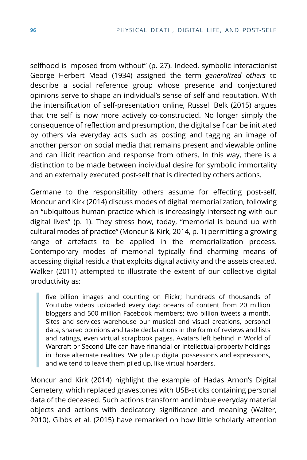selfhood is imposed from without" (p. 27). Indeed, symbolic interactionist George Herbert Mead (1934) assigned the term *generalized others* to describe a social reference group whose presence and conjectured opinions serve to shape an individual's sense of self and reputation. With the intensification of self-presentation online, Russell Belk (2015) argues that the self is now more actively co-constructed. No longer simply the consequence of reflection and presumption, the digital self can be initiated by others via everyday acts such as posting and tagging an image of another person on social media that remains present and viewable online and can illicit reaction and response from others. In this way, there is a distinction to be made between individual desire for symbolic immortality and an externally executed post-self that is directed by others actions.

Germane to the responsibility others assume for effecting post-self, Moncur and Kirk (2014) discuss modes of digital memorialization, following an "ubiquitous human practice which is increasingly intersecting with our digital lives" (p. 1). They stress how, today, "memorial is bound up with cultural modes of practice" (Moncur & Kirk, 2014, p. 1) permitting a growing range of artefacts to be applied in the memorialization process. Contemporary modes of memorial typically find charming means of accessing digital residua that exploits digital activity and the assets created. Walker (2011) attempted to illustrate the extent of our collective digital productivity as:

five billion images and counting on Flickr; hundreds of thousands of YouTube videos uploaded every day; oceans of content from 20 million bloggers and 500 million Facebook members; two billion tweets a month. Sites and services warehouse our musical and visual creations, personal data, shared opinions and taste declarations in the form of reviews and lists and ratings, even virtual scrapbook pages. Avatars left behind in World of Warcraft or Second Life can have financial or intellectual-property holdings in those alternate realities. We pile up digital possessions and expressions, and we tend to leave them piled up, like virtual hoarders.

Moncur and Kirk (2014) highlight the example of Hadas Arnon's Digital Cemetery, which replaced gravestones with USB-sticks containing personal data of the deceased. Such actions transform and imbue everyday material objects and actions with dedicatory significance and meaning (Walter, 2010). Gibbs et al. (2015) have remarked on how little scholarly attention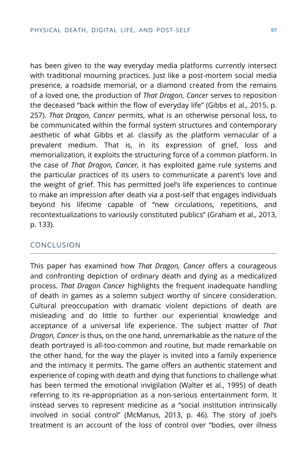has been given to the way everyday media platforms currently intersect with traditional mourning practices. Just like a post-mortem social media presence, a roadside memorial, or a diamond created from the remains of a loved one, the production of *That Dragon, Cancer* serves to reposition the deceased "back within the flow of everyday life" (Gibbs et al., 2015, p. 257). *That Dragon, Cancer* permits, what is an otherwise personal loss, to be communicated within the formal system structures and contemporary aesthetic of what Gibbs et al*.* classify as the platform vernacular of a prevalent medium. That is, in its expression of grief, loss and memorialization, it exploits the structuring force of a common platform. In the case of *That Dragon, Cancer,* it has exploited game rule systems and the particular practices of its users to communicate a parent's love and the weight of grief. This has permitted Joel's life experiences to continue to make an impression after death via a post-self that engages individuals beyond his lifetime capable of "new circulations, repetitions, and recontextualizations to variously constituted publics" (Graham et al., 2013, p. 133).

#### CONCLUSION

This paper has examined how *That Dragon, Cancer* offers a courageous and confronting depiction of ordinary death and dying as a medicalized process. *That Dragon Cancer* highlights the frequent inadequate handling of death in games as a solemn subject worthy of sincere consideration. Cultural preoccupation with dramatic violent depictions of death are misleading and do little to further our experiential knowledge and acceptance of a universal life experience. The subject matter of *That Dragon, Cancer* is thus, on the one hand, unremarkable as the nature of the death portrayed is all-too-common and routine, but made remarkable on the other hand, for the way the player is invited into a family experience and the intimacy it permits. The game offers an authentic statement and experience of coping with death and dying that functions to challenge what has been termed the emotional invigilation (Walter et al., 1995) of death referring to its re-appropriation as a non-serious entertainment form. It instead serves to represent medicine as a "social institution intrinsically involved in social control" (McManus, 2013, p. 46). The story of Joel's treatment is an account of the loss of control over "bodies, over illness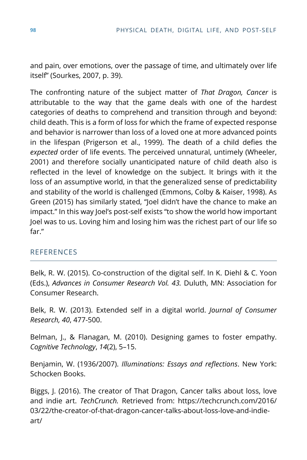and pain, over emotions, over the passage of time, and ultimately over life itself" (Sourkes, 2007, p. 39).

The confronting nature of the subject matter of *That Dragon, Cancer* is attributable to the way that the game deals with one of the hardest categories of deaths to comprehend and transition through and beyond: child death. This is a form of loss for which the frame of expected response and behavior is narrower than loss of a loved one at more advanced points in the lifespan (Prigerson et al., 1999). The death of a child defies the *expected* order of life events. The perceived unnatural, untimely (Wheeler, 2001) and therefore socially unanticipated nature of child death also is reflected in the level of knowledge on the subject. It brings with it the loss of an assumptive world, in that the generalized sense of predictability and stability of the world is challenged (Emmons, Colby & Kaiser, 1998). As Green (2015) has similarly stated, "Joel didn't have the chance to make an impact." In this way Joel's post-self exists "to show the world how important Joel was to us. Loving him and losing him was the richest part of our life so far."

## **REFERENCES**

Belk, R. W. (2015). Co-construction of the digital self. In K. Diehl & C. Yoon (Eds.), *Advances in Consumer Research Vol. 43.* Duluth, MN: Association for Consumer Research.

Belk, R. W. (2013). Extended self in a digital world. *Journal of Consumer Research, 40*, 477-500.

Belman, J., & Flanagan, M. (2010). Designing games to foster empathy. *Cognitive Technology*, *14*(2), 5–15.

Benjamin, W. (1936/2007). *Illuminations: Essays and reflections*. New York: Schocken Books.

Biggs, J. (2016). The creator of That Dragon, Cancer talks about loss, love and indie art. *TechCrunch.* Retrieved from: https://techcrunch.com/2016/ 03/22/the-creator-of-that-dragon-cancer-talks-about-loss-love-and-indieart/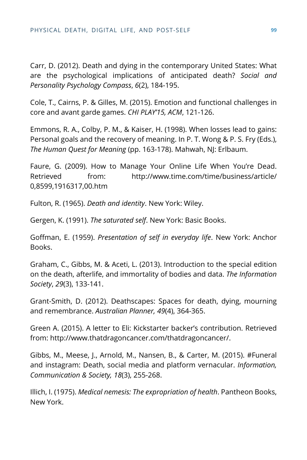Carr, D. (2012). Death and dying in the contemporary United States: What are the psychological implications of anticipated death? *Social and Personality Psychology Compass*, *6*(2), 184-195.

Cole, T., Cairns, P. & Gilles, M. (2015). Emotion and functional challenges in core and avant garde games. *CHI PLAY'15, ACM*, 121-126.

Emmons, R. A., Colby, P. M., & Kaiser, H. (1998). When losses lead to gains: Personal goals and the recovery of meaning. In P. T. Wong & P. S. Fry (Eds.), *The Human Quest for Meaning* (pp. 163-178). Mahwah, NJ: Erlbaum.

Faure, G. (2009). How to Manage Your Online Life When You're Dead. Retrieved from: http://www.time.com/time/business/article/ 0,8599,1916317,00.htm

Fulton, R. (1965). *Death and identity*. New York: Wiley.

Gergen, K. (1991). *The saturated self*. New York: Basic Books.

Goffman, E. (1959). *Presentation of self in everyday life*. New York: Anchor Books.

Graham, C., Gibbs, M. & Aceti, L. (2013). Introduction to the special edition on the death, afterlife, and immortality of bodies and data. *The Information Society*, *29*(3), 133-141.

Grant-Smith, D. (2012). Deathscapes: Spaces for death, dying, mourning and remembrance. *Australian Planner, 49*(4), 364-365.

Green A. (2015). A letter to Eli: Kickstarter backer's contribution. Retrieved from: http://www.thatdragoncancer.com/thatdragoncancer/.

Gibbs, M., Meese, J., Arnold, M., Nansen, B., & Carter, M. (2015). #Funeral and instagram: Death, social media and platform vernacular. *Information, Communication & Society, 18*(3), 255-268.

Illich, I. (1975). *Medical nemesis: The expropriation of health*. Pantheon Books, New York.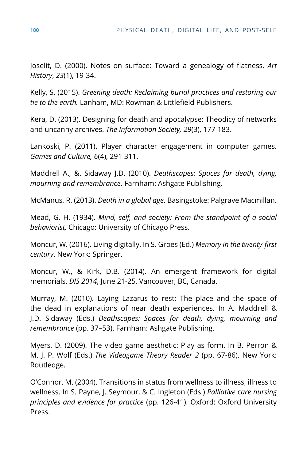Joselit, D. (2000). Notes on surface: Toward a genealogy of flatness. *Art History*, *23*(1), 19-34.

Kelly, S. (2015). *Greening death: Reclaiming burial practices and restoring our tie to the earth.* Lanham, MD: Rowman & Littlefield Publishers.

Kera, D. (2013). Designing for death and apocalypse: Theodicy of networks and uncanny archives. *The Information Society, 29*(3), 177-183.

Lankoski, P. (2011). Player character engagement in computer games. *Games and Culture, 6*(4), 291-311.

Maddrell A., &. Sidaway J.D. (2010). *Deathscapes: Spaces for death, dying, mourning and remembrance*. Farnham: Ashgate Publishing.

McManus, R. (2013). *Death in a global age*. Basingstoke: Palgrave Macmillan.

Mead, G. H. (1934). *Mind, self, and society: From the standpoint of a social behaviorist,* Chicago: University of Chicago Press.

Moncur, W. (2016). Living digitally. In S. Groes (Ed.) *Memory in the twenty-first century*. New York: Springer.

Moncur, W., & Kirk, D.B. (2014). An emergent framework for digital memorials. *DIS 2014*, June 21-25, Vancouver, BC, Canada.

Murray, M. (2010). Laying Lazarus to rest: The place and the space of the dead in explanations of near death experiences. In A. Maddrell & J.D. Sidaway (Eds.) *Deathscapes: Spaces for death, dying, mourning and remembrance* (pp. 37–53). Farnham: Ashgate Publishing.

Myers, D. (2009). The video game aesthetic: Play as form. In B. Perron & M. J. P. Wolf (Eds.) *The Videogame Theory Reader 2* (pp. 67-86). New York: Routledge.

O'Connor, M. (2004). Transitions in status from wellness to illness, illness to wellness. In S. Payne, J. Seymour, & C. Ingleton (Eds.) *Palliative care nursing principles and evidence for practice* (pp. 126-41). Oxford: Oxford University Press.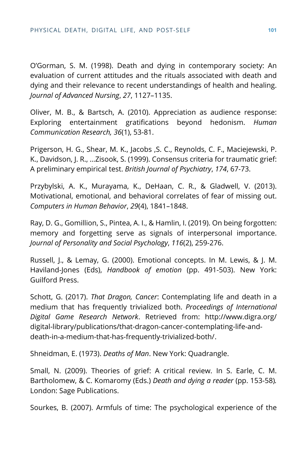O'Gorman, S. M. (1998). Death and dying in contemporary society: An evaluation of current attitudes and the rituals associated with death and dying and their relevance to recent understandings of health and healing. *Journal of Advanced Nursing*, *27*, 1127–1135.

Oliver, M. B., & Bartsch, A. (2010). Appreciation as audience response: Exploring entertainment gratifications beyond hedonism. *Human Communication Research, 36*(1), 53-81.

Prigerson, H. G., Shear, M. K., Jacobs ,S. C., Reynolds, C. F., Maciejewski, P. K., Davidson, J. R., …Zisook, S. (1999). Consensus criteria for traumatic grief: A preliminary empirical test. *British Journal of Psychiatry*, *174*, 67-73.

Przybylski, A. K., Murayama, K., DeHaan, C. R., & Gladwell, V. (2013). Motivational, emotional, and behavioral correlates of fear of missing out. *Computers in Human Behavior*, *29*(4), 1841–1848.

Ray, D. G., Gomillion, S., Pintea, A. I., & Hamlin, I. (2019). On being forgotten: memory and forgetting serve as signals of interpersonal importance. *Journal of Personality and Social Psychology*, *116*(2), 259-276.

Russell, J., & Lemay, G. (2000). Emotional concepts. In M. Lewis, & J. M. Haviland-Jones (Eds), *Handbook of emotion* (pp. 491-503). New York: Guilford Press.

Schott, G. (2017). *That Dragon, Cancer*: Contemplating life and death in a medium that has frequently trivialized both. *Proceedings of International Digital Game Research Network*. Retrieved from: http://www.digra.org/ digital-library/publications/that-dragon-cancer-contemplating-life-anddeath-in-a-medium-that-has-frequently-trivialized-both/.

Shneidman, E. (1973). *Deaths of Man*. New York: Quadrangle.

Small, N. (2009). Theories of grief: A critical review. In S. Earle, C. M. Bartholomew, & C. Komaromy (Eds.) *Death and dying a reader* (pp. 153-58)*.* London: Sage Publications.

Sourkes, B. (2007). Armfuls of time: The psychological experience of the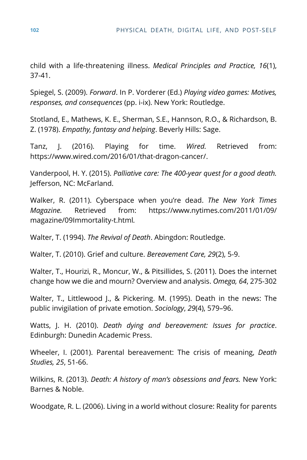child with a life-threatening illness. *Medical Principles and Practice, 16*(1), 37-41.

Spiegel, S. (2009). *Forward*. In P. Vorderer (Ed.) *Playing video games: Motives, responses, and consequences* (pp. i-ix). New York: Routledge.

Stotland, E., Mathews, K. E., Sherman, S.E., Hannson, R.O., & Richardson, B. Z. (1978). *Empathy, fantasy and helping*. Beverly Hills: Sage.

Tanz, J. (2016). Playing for time. *Wired.* Retrieved from: https://www.wired.com/2016/01/that-dragon-cancer/.

Vanderpool, H. Y. (2015). *Palliative care: The 400-year quest for a good death.* Jefferson, NC: McFarland.

Walker, R. (2011). Cyberspace when you're dead. *The New York Times Magazine.* Retrieved from: https://www.nytimes.com/2011/01/09/ magazine/09Immortality-t.html*.*

Walter, T. (1994). *The Revival of Death*. Abingdon: Routledge.

Walter, T. (2010). Grief and culture. *Bereavement Care, 29*(2), 5-9.

Walter, T., Hourizi, R., Moncur, W., & Pitsillides, S. (2011). Does the internet change how we die and mourn? Overview and analysis. *Omega, 64*, 275-302

Walter, T., Littlewood J., & Pickering. M. (1995). Death in the news: The public invigilation of private emotion. *Sociology*, *29*(4), 579–96.

Watts, J. H. (2010). *Death dying and bereavement: Issues for practice*. Edinburgh: Dunedin Academic Press.

Wheeler, I. (2001). Parental bereavement: The crisis of meaning, *Death Studies, 25*, 51-66.

Wilkins, R. (2013). *Death: A history of man's obsessions and fears.* New York: Barnes & Noble.

Woodgate, R. L. (2006). Living in a world without closure: Reality for parents